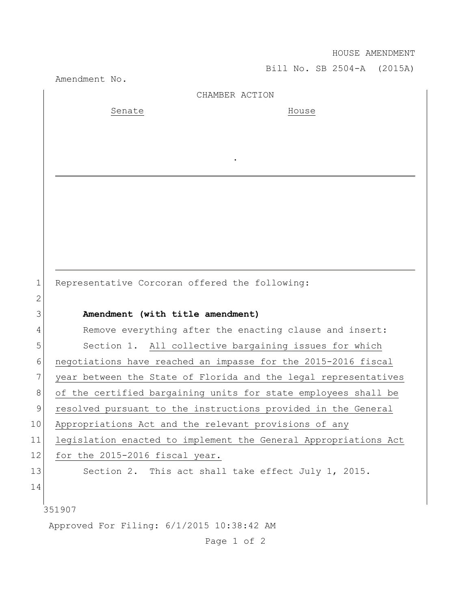HOUSE AMENDMENT

Bill No. SB 2504-A (2015A) Amendment No. 351907 Approved For Filing: 6/1/2015 10:38:42 AM CHAMBER ACTION Senate House . 1 Representative Corcoran offered the following: 2 3 **Amendment (with title amendment)** 4 Remove everything after the enacting clause and insert: 5 Section 1. All collective bargaining issues for which 6 negotiations have reached an impasse for the 2015-2016 fiscal 7 year between the State of Florida and the legal representatives 8 of the certified bargaining units for state employees shall be 9 resolved pursuant to the instructions provided in the General 10 Appropriations Act and the relevant provisions of any 11 legislation enacted to implement the General Appropriations Act 12 for the 2015-2016 fiscal year. 13 Section 2. This act shall take effect July 1, 2015. 14

Page 1 of 2